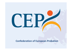# ъ,

#### **Confederation of European Probation**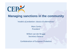

# **Managing sanctions in the community**

'*models of probation: classics & alternatives'*

Marc Cerón President

Willem van der Brugge Secretary General

Confederation of European Probation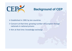

# **Background of CEP**

 $\triangleright$  Established in 1981 by ten countries

Concern at that time: growing number of European foreign nationals in national prisons

Aim at that time: knowledge exchange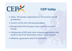

# **CEP d to ay**

Today: 59 member organizations in 34 countries and 38 jurisdictions

- Concern at this time: decreasing budgets
- Recognized by the European Union and the Council of Europe
- Collaboration (CJPE) with other network organizations like EuroPris, the EF for Restorative Justice, Victim Support
- Affiliation agreements with EFUS and APPA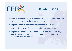

# **G l f CEP Goals of**

- To unite probation organizations and individual professionals all over Europe, sharing the same principles
- To professionalize the sector of probation in Europe
- •To raise the profile of European probation organizations
- To promote social inclusion of offenders through community sanctions and measures such as probation, community service, mediation and conciliation.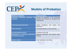

# **Models of Probation**

| <b>Model of probation</b>                                                       | <b>Characteristics</b>                                                                               |
|---------------------------------------------------------------------------------|------------------------------------------------------------------------------------------------------|
| <b>sanctions</b><br><b>Promoting</b><br>community<br>and<br>measures            | Increase the proportion of the community<br>sanctions and measures as compared with<br>imprisonment. |
| <b>Assisting judiciary decisions</b>                                            | Judicial<br>satisfaction<br>with<br>reports<br>and<br>supervision                                    |
| <b>Public protection</b>                                                        | Controlling offenders in the community                                                               |
| <b>Punishment/Enforcement</b>                                                   | Compliance and recall                                                                                |
| <b>Rehabilitation / Preventing reoffending /</b><br><b>Promoting desistance</b> | Reduced reconviction and improve social<br>inclusion                                                 |
|                                                                                 |                                                                                                      |
| <b>Victim's interest</b>                                                        | Victim satisfaction and redress                                                                      |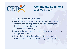

# **Community Sanctions and Measures**

- $\triangleright$  The oldest 'alternative' purpose
- One of the best solutions for overcrowding in prisons
- $\triangleright$  No additional damage for the offender (loss of jobs, housing, relationships etc.)
- $\triangleright$  Visible in the community
- Growth of community sanctions and measures in Eastern Europe and Balkans;
- $\triangleright$  Reconviction rates slightly lower after community sentences than after imprisonment (Durnescu, 2013)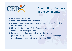

# **Controlling offenders in the community**

- ▶ Post-release supervision
- $\triangleright$  Parole and indeterminate supervision
- ▶ MAPPA (Co-ordinated supervision after full release for violent and sex offenders)
- Electronic Monitoring. Only effective in reducing crime in combination with supervision
- $\triangleright$  Based on the limited studies it seems that supervision by probation is slightly more effective than prison in reducing re‐ offending, or at least not worse (Durnescu 2013)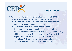

#### **Desistance**

Why people desist from <sup>a</sup> criminal career (Farrall, 2002)

- p. **desistance is related to overcoming obstacles.**
- p. overcoming obstacles is associated with prior motivation and changes in the social circumstances
- **desistance often take place without probation** interventions. Solving obstacles related to family problems and employment are related to desistance (Leibrich, 1993).
- **Skills and attributes ofthe correctional staff when delivering** supervision have <sup>a</sup> strong impact on recidivism.
- p. Combining RNR paradigm with core correctional practices are effective in reducing re‐arrest (Robinson et al., 2012).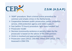

# **Z.S.M. (A.S.A.P.)**

- 'ASAP'‐procedure: Short criminal justice procedure for common and simple crimes in the Netherlands
- Cooperation between public prosecution, police, probation service, child protection agency and victim support
- Fast (within 72 hours) procedure: light cases handled fast
- ▶ Prosecutor model
- Decision (community sentence or penalty) taken by the prosecutor is based on the advice of the ZSM partners
- $\triangleright$  Victim is involved and approached (compensation)
- Prosecutor cases (2012): 250.000; Inflow ZSM (2012): 25%; Assessed in ZSM:72%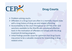

#### **Drug Courts**

#### ▶ Problem-solving courts.

- Offenders in <sup>a</sup> Drug Court are often in <sup>a</sup> mentally chaotic state with <sup>a</sup> long history of drug use and related offending.
- Accountability to the court throughout an (DTTO) order and sanctions available to the Sheriffs are considered effective tools in the motivation of offenders to comply with the drug treatment & testing program.
- $\triangleright$  initial findings provide cause for optimism that Drug Courts may prove to be <sup>a</sup> valuable resource for responding to drug related crime.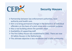

## **Security Houses**

- Partnershi p between law enforcement authorities, local authority and health care.
- $\triangleright$  Aim is to bring permanent change in the behaviour of individual offenders on the basis of a joint vision and a common purpose.
- Also a real building where the partners meet.
- $\triangleright$  Availability of supporting staff.
- The first Safety House was established in 2002. There are now 45 Safet y Houses in the Netherlands.
- The ultimate objective is less recidivism and a safer community.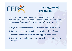

# **The Paradox of probation:**

*`The paradox of probation model posits that probation simultaneously serves as both an alternative to prison and as <sup>a</sup> net‐widener that expands carceral control.' (Phelps, 2013)*

- ▶ Regulate CSM for medium and medium-high risk offenders
- $\triangleright$  Reform the sentencing policies e.g. divert drug offenders
- $\triangleright$  Promote probation practices that support compliance
- Do not look at probation as 'a magic bullet' adopt flanking measures